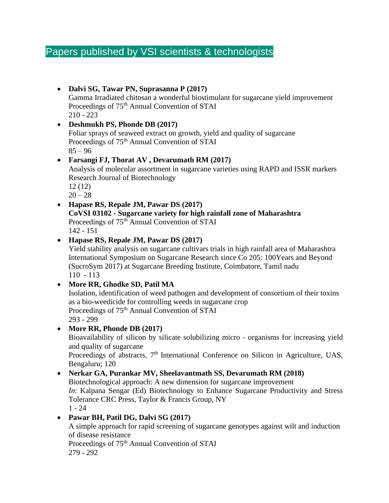# Papers published by VSI scientists & technologists

#### • **Dalvi SG, Tawar PN, Suprasanna P (2017)**  Gamma Irradiated chitosan a wonderful biostimulant for sugarcane yield improvement Proceedings of 75<sup>th</sup> Annual Convention of STAI 210 - 223

#### • **Deshmukh PS, Phonde DB (2017)**  Foliar sprays of seaweed extract on growth, yield and quality of sugarcane Proceedings of 75<sup>th</sup> Annual Convention of STAI  $85 - 96$

### • **Farsangi FJ, Thorat AV , Devarumath RM (2017)**

Analysis of molecular assortment in sugarcane varieties using RAPD and ISSR markers Research Journal of Biotechnology 12 (12)  $20 - 28$ 

#### • **Hapase RS, Repale JM, Pawar DS (2017) CoVSI 03102 - Sugarcane variety for high rainfall zone of Maharashtra**  Proceedings of 75<sup>th</sup> Annual Convention of STAI 142 - 151

### • **Hapase RS, Repale JM, Pawar DS (2017)**

Yield stability analysis on sugarcane cultivars trials in high rainfall area of Maharashtra International Symposium on Sugarcane Research since Co 205: 100Years and Beyond (SucroSym 2017) at Sugarcane Breeding Institute, Coimbatore, Tamil nadu 110 - 113

#### • **More RR, Ghodke SD, Patil MA**

Isolation, identification of weed pathogen and development of consortium of their toxins as a bio**-**weedicide for controlling weeds in sugarcane crop Proceedings of 75<sup>th</sup> Annual Convention of STAI 293 - 299

#### • **More RR, Phonde DB (2017)**

Bioavailability of silicon by silicate solubilizing micro - organisms for increasing yield and quality of sugarcane

Proceedings of abstracts, 7<sup>th</sup> International Conference on Silicon in Agriculture, UAS, Bengaluru; 120

#### • **Nerkar GA, Purankar MV, Sheelavantmath SS, Devarumath RM (2018)**

Biotechnological approach: A new dimension for sugarcane improvement *In*: Kalpana Sengar (Ed) Biotechnology to Enhance Sugarcane Productivity and Stress Tolerance CRC Press, Taylor & Francis Group, NY  $1 - 24$ 

#### • **Pawar BH, Patil DG, Dalvi SG (2017)**

A simple approach for rapid screening of sugarcane genotypes against wilt and induction of disease resistance Proceedings of 75<sup>th</sup> Annual Convention of STAI

279 - 292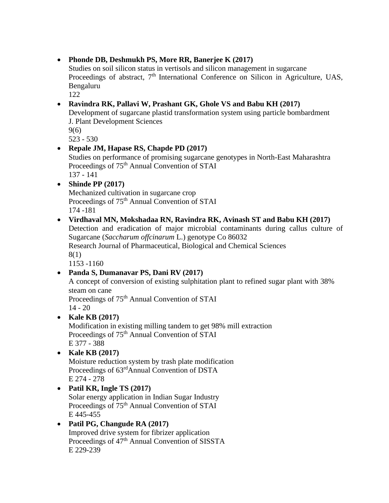#### • **Phonde DB, Deshmukh PS, More RR, Banerjee K (2017)**

 Studies on soil silicon status in vertisols and silicon management in sugarcane Proceedings of abstract, 7<sup>th</sup> International Conference on Silicon in Agriculture, UAS, Bengaluru

122

# • **Ravindra RK, Pallavi W, Prashant GK, Ghole VS and Babu KH (2017)**

Development of sugarcane plastid transformation system using particle bombardment J. Plant Development Sciences

9(6) 523 - 530

#### • **Repale JM, Hapase RS, Chapde PD (2017)**

Studies on performance of promising sugarcane genotypes in North-East Maharashtra Proceedings of 75<sup>th</sup> Annual Convention of STAI 137 - 141

• **Shinde PP (2017)**

Mechanized cultivation in sugarcane crop Proceedings of 75<sup>th</sup> Annual Convention of STAI 174 -181

### • **Virdhaval MN, Mokshadaa RN, Ravindra RK, Avinash ST and Babu KH (2017)**

Detection and eradication of major microbial contaminants during callus culture of Sugarcane (*Saccharum offcinarum* L.) genotype Co 86032

Research Journal of Pharmaceutical, Biological and Chemical Sciences 8(1)

1153 -1160

#### • **Panda S, Dumanavar PS, Dani RV (2017)**

A concept of conversion of existing sulphitation plant to refined sugar plant with 38% steam on cane

Proceedings of 75th Annual Convention of STAI 14 - 20

## • **Kale KB (2017)**

Modification in existing milling tandem to get 98% mill extraction Proceedings of 75<sup>th</sup> Annual Convention of STAI E 377 - 388

• **Kale KB (2017)**

Moisture reduction system by trash plate modification Proceedings of  $63<sup>rd</sup>$ Annual Convention of DSTA E 274 - 278

• **Patil KR, Ingle TS (2017)**

Solar energy application in Indian Sugar Industry Proceedings of 75<sup>th</sup> Annual Convention of STAI E 445-455

## • **Patil PG, Changude RA (2017)**

Improved drive system for fibrizer application Proceedings of  $47<sup>th</sup>$  Annual Convention of SISSTA E 229-239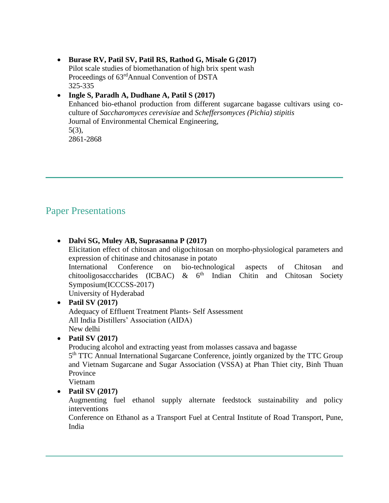• **Burase RV, Patil SV, Patil RS, Rathod G, Misale G (2017)** Pilot scale studies of biomethanation of high brix spent wash Proceedings of  $63^{\text{rd}}$ Annual Convention of DSTA 325-335

• **Ingle S, Paradh A, Dudhane A, Patil S (2017)**  Enhanced bio-ethanol production from different sugarcane bagasse cultivars using coculture of *Saccharomyces cerevisiae* and *Scheffersomyces (Pichia) stipitis* Journal of Environmental Chemical Engineering, 5(3), 2861-2868

# Paper Presentations

• **Dalvi SG, Muley AB, Suprasanna P (2017)**  Elicitation effect of chitosan and oligochitosan on morpho-physiological parameters and expression of chitinase and chitosanase in potato International Conference on bio-technological aspects of Chitosan and chitooligosacccharides (ICBAC)  $\&$  6<sup>th</sup> Indian Chitin and Chitosan Society Symposium(ICCCSS-2017) University of Hyderabad • **Patil SV (2017)** Adequacy of Effluent Treatment Plants- Self Assessment All India Distillers' Association (AIDA) New delhi • **Patil SV (2017)** Producing alcohol and extracting yeast from molasses cassava and bagasse 5<sup>th</sup> TTC Annual International Sugarcane Conference, jointly organized by the TTC Group and Vietnam Sugarcane and Sugar Association (VSSA) at Phan Thiet city, Binh Thuan Province Vietnam • **Patil SV (2017)** Augmenting fuel ethanol supply alternate feedstock sustainability and policy

interventions Conference on Ethanol as a Transport Fuel at Central Institute of Road Transport, Pune, India